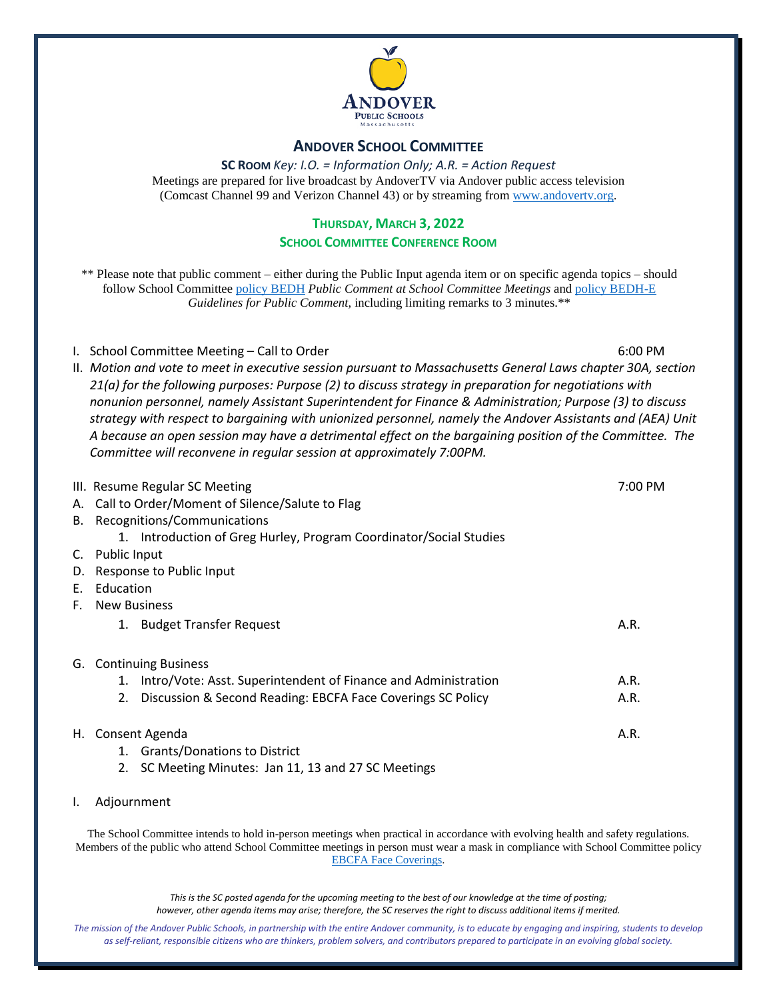

#### **ANDOVER SCHOOL COMMITTEE**

**SC ROOM** *Key: I.O. = Information Only; A.R. = Action Request* Meetings are prepared for live broadcast by AndoverTV via Andover public access television (Comcast Channel 99 and Verizon Channel 43) or by streaming from [www.andovertv.org.](http://www.andovertv.org/)

#### **THURSDAY, MARCH 3, 2022**

#### **SCHOOL COMMITTEE CONFERENCE ROOM**

\*\* Please note that public comment – either during the Public Input agenda item or on specific agenda topics – should follow School Committee [policy BEDH](https://z2policy.ctspublish.com/masc/browse/andoverset/andover/BEDH) *Public Comment at School Committee Meetings* an[d policy BEDH-E](https://z2policy.ctspublish.com/masc/browse/andoverset/andover/BEDH-E/z2Code_BEDH-E) *Guidelines for Public Comment*, including limiting remarks to 3 minutes.\*\*

I. School Committee Meeting – Call to Order 6:00 PM

II. *Motion and vote to meet in executive session pursuant to Massachusetts General Laws chapter 30A, section 21(a) for the following purposes: Purpose (2) to discuss strategy in preparation for negotiations with nonunion personnel, namely Assistant Superintendent for Finance & Administration; Purpose (3) to discuss strategy with respect to bargaining with unionized personnel, namely the Andover Assistants and (AEA) Unit A because an open session may have a detrimental effect on the bargaining position of the Committee. The Committee will reconvene in regular session at approximately 7:00PM.*

|    | III. Resume Regular SC Meeting                                       | 7:00 PM |
|----|----------------------------------------------------------------------|---------|
|    | A. Call to Order/Moment of Silence/Salute to Flag                    |         |
|    | B. Recognitions/Communications                                       |         |
|    | 1. Introduction of Greg Hurley, Program Coordinator/Social Studies   |         |
| C. | Public Input                                                         |         |
|    | D. Response to Public Input                                          |         |
| E. | Education                                                            |         |
| F. | <b>New Business</b>                                                  |         |
|    | 1. Budget Transfer Request                                           | A.R.    |
|    | G. Continuing Business                                               |         |
|    | Intro/Vote: Asst. Superintendent of Finance and Administration<br>1. | A.R.    |
|    | Discussion & Second Reading: EBCFA Face Coverings SC Policy<br>2.    | A.R.    |
|    | H. Consent Agenda                                                    | A.R.    |
|    | <b>Grants/Donations to District</b><br>1.                            |         |
|    | SC Meeting Minutes: Jan 11, 13 and 27 SC Meetings<br>2.              |         |

I. Adjournment

The School Committee intends to hold in-person meetings when practical in accordance with evolving health and safety regulations. Members of the public who attend School Committee meetings in person must wear a mask in compliance with School Committee policy [EBCFA Face Coverings.](https://z2policy.ctspublish.com/masc/browse/andoverset/andover/EBCFA) 

> *This is the SC posted agenda for the upcoming meeting to the best of our knowledge at the time of posting; however, other agenda items may arise; therefore, the SC reserves the right to discuss additional items if merited.*

*The mission of the Andover Public Schools, in partnership with the entire Andover community, is to educate by engaging and inspiring, students to develop as self-reliant, responsible citizens who are thinkers, problem solvers, and contributors prepared to participate in an evolving global society.*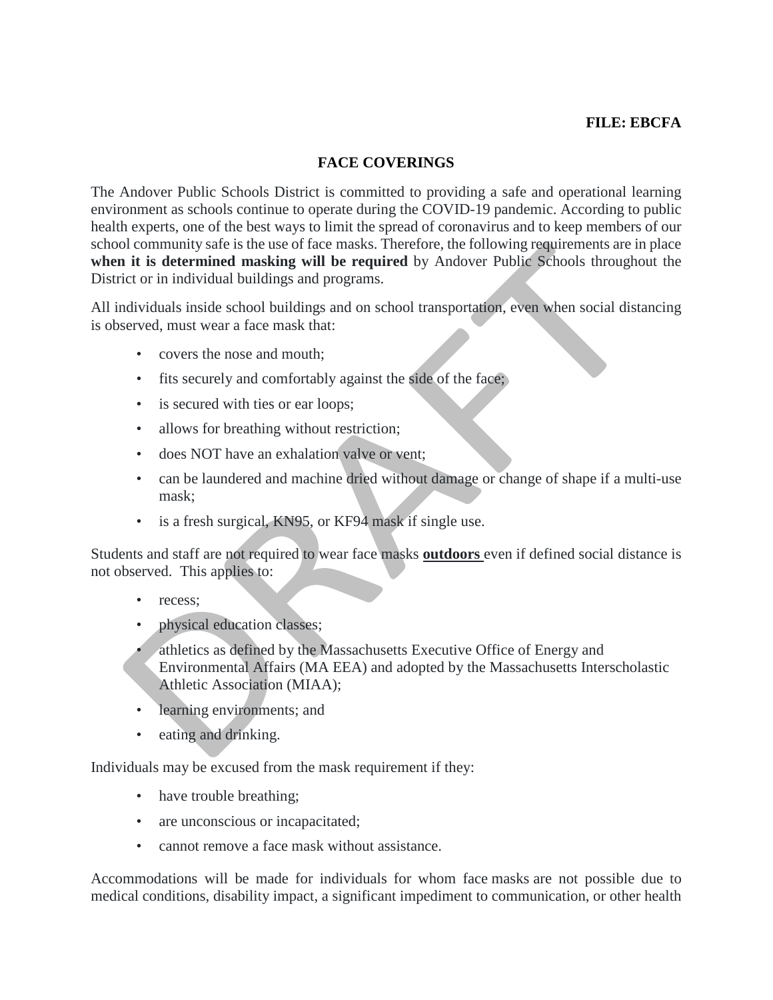# **FILE: EBCFA**

# **FACE COVERINGS**

The Andover Public Schools District is committed to providing a safe and operational learning environment as schools continue to operate during the COVID-19 pandemic. According to public health experts, one of the best ways to limit the spread of coronavirus and to keep members of our school community safe is the use of face masks. Therefore, the following requirements are in place **when it is determined masking will be required** by Andover Public Schools throughout the District or in individual buildings and programs.

All individuals inside school buildings and on school transportation, even when social distancing is observed, must wear a face mask that:

- covers the nose and mouth;
- fits securely and comfortably against the side of the face;
- is secured with ties or ear loops;
- allows for breathing without restriction;
- does NOT have an exhalation valve or vent;
- can be laundered and machine dried without damage or change of shape if a multi-use mask;
- is a fresh surgical, KN95, or KF94 mask if single use.

Students and staff are not required to wear face masks **outdoors** even if defined social distance is not observed. This applies to:

- recess:
- physical education classes;
- athletics as defined by the Massachusetts Executive Office of Energy and Environmental Affairs (MA EEA) and adopted by the Massachusetts Interscholastic Athletic Association (MIAA);
- learning environments; and
- eating and drinking.

Individuals may be excused from the mask requirement if they:

- have trouble breathing;
- are unconscious or incapacitated;
- cannot remove a face mask without assistance.

Accommodations will be made for individuals for whom face masks are not possible due to medical conditions, disability impact, a significant impediment to communication, or other health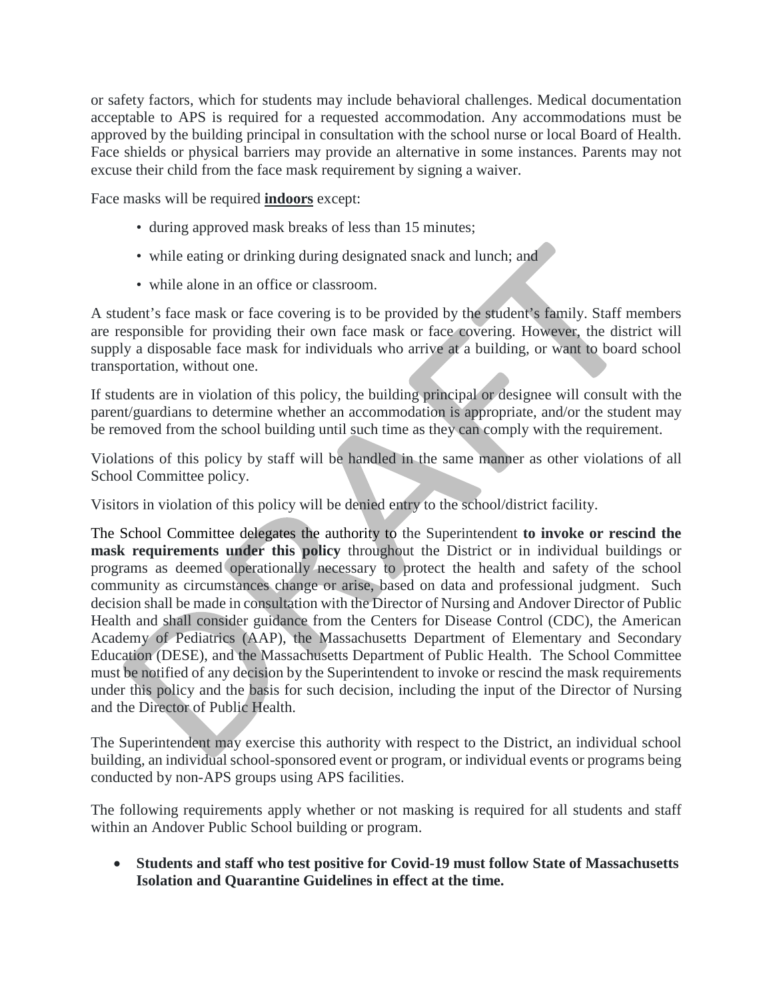or safety factors, which for students may include behavioral challenges. Medical documentation acceptable to APS is required for a requested accommodation. Any accommodations must be approved by the building principal in consultation with the school nurse or local Board of Health. Face shields or physical barriers may provide an alternative in some instances. Parents may not excuse their child from the face mask requirement by signing a waiver.

Face masks will be required **indoors** except:

- during approved mask breaks of less than 15 minutes;
- while eating or drinking during designated snack and lunch; and
- while alone in an office or classroom.

A student's face mask or face covering is to be provided by the student's family. Staff members are responsible for providing their own face mask or face covering. However, the district will supply a disposable face mask for individuals who arrive at a building, or want to board school transportation, without one.

If students are in violation of this policy, the building principal or designee will consult with the parent/guardians to determine whether an accommodation is appropriate, and/or the student may be removed from the school building until such time as they can comply with the requirement.

Violations of this policy by staff will be handled in the same manner as other violations of all School Committee policy.

Visitors in violation of this policy will be denied entry to the school/district facility.

The School Committee delegates the authority to the Superintendent **to invoke or rescind the mask requirements under this policy** throughout the District or in individual buildings or programs as deemed operationally necessary to protect the health and safety of the school community as circumstances change or arise, based on data and professional judgment. Such decision shall be made in consultation with the Director of Nursing and Andover Director of Public Health and shall consider guidance from the Centers for Disease Control (CDC), the American Academy of Pediatrics (AAP), the Massachusetts Department of Elementary and Secondary Education (DESE), and the Massachusetts Department of Public Health. The School Committee must be notified of any decision by the Superintendent to invoke or rescind the mask requirements under this policy and the basis for such decision, including the input of the Director of Nursing and the Director of Public Health.

The Superintendent may exercise this authority with respect to the District, an individual school building, an individual school-sponsored event or program, or individual events or programs being conducted by non-APS groups using APS facilities.

The following requirements apply whether or not masking is required for all students and staff within an Andover Public School building or program.

• **Students and staff who test positive for Covid-19 must follow State of Massachusetts Isolation and Quarantine Guidelines in effect at the time.**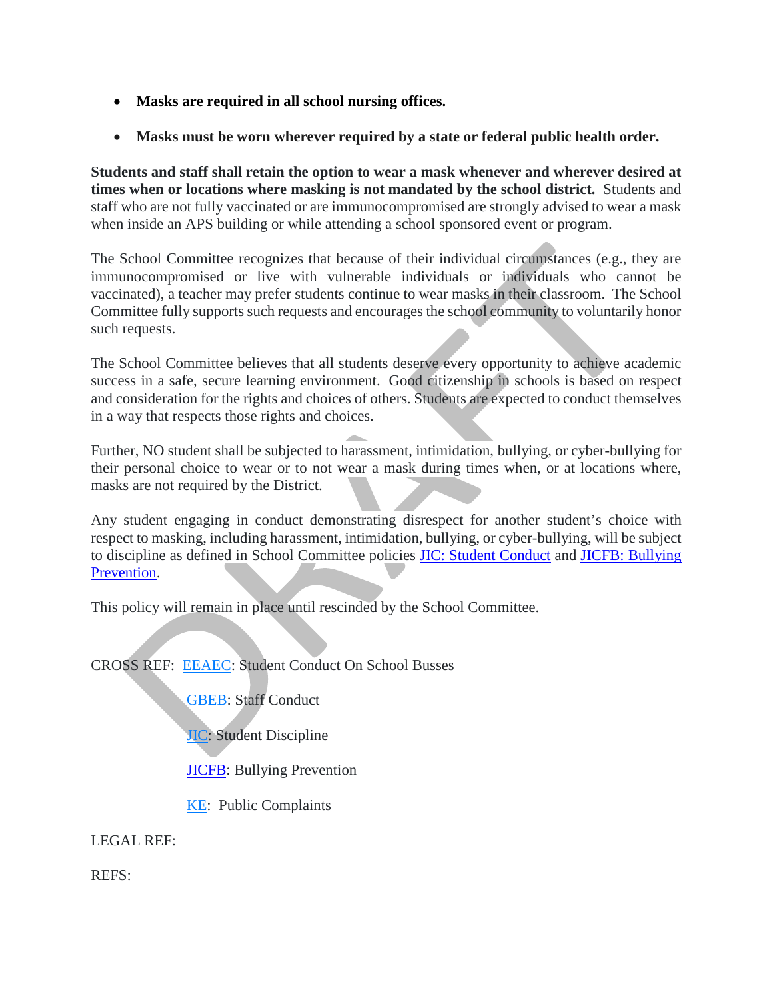- **Masks are required in all school nursing offices.**
- **Masks must be worn wherever required by a state or federal public health order.**

**Students and staff shall retain the option to wear a mask whenever and wherever desired at times when or locations where masking is not mandated by the school district.** Students and staff who are not fully vaccinated or are immunocompromised are strongly advised to wear a mask when inside an APS building or while attending a school sponsored event or program.

The School Committee recognizes that because of their individual circumstances (e.g., they are immunocompromised or live with vulnerable individuals or individuals who cannot be vaccinated), a teacher may prefer students continue to wear masks in their classroom. The School Committee fully supports such requests and encourages the school community to voluntarily honor such requests.

The School Committee believes that all students deserve every opportunity to achieve academic success in a safe, secure learning environment. Good citizenship in schools is based on respect and consideration for the rights and choices of others. Students are expected to conduct themselves in a way that respects those rights and choices.

Further, NO student shall be subjected to harassment, intimidation, bullying, or cyber-bullying for their personal choice to wear or to not wear a mask during times when, or at locations where, masks are not required by the District.

Any student engaging in conduct demonstrating disrespect for another student's choice with respect to masking, including harassment, intimidation, bullying, or cyber-bullying, will be subject to discipline as defined in School Committee policies [JIC: Student Conduct](https://z2policy.ctspublish.com/masc/browse/andoverset/andover/JIC) and [JICFB: Bullying](https://z2policy.ctspublish.com/masc/browse/andoverset/andover/JICFB)  [Prevention.](https://z2policy.ctspublish.com/masc/browse/andoverset/andover/JICFB)

This policy will remain in place until rescinded by the School Committee.

CROSS REF: [EEAEC:](https://z2policy.ctspublish.com/masc/browse/andoverset/welcome/root) Student Conduct On School Busses

[GBEB:](https://z2policy.ctspublish.com/masc/browse/andoverset/welcome/root) Staff Conduct

**[JIC:](https://z2policy.ctspublish.com/masc/browse/andoverset/welcome/root)** Student Discipline

**JICFB**: Bullying Prevention

[KE:](https://z2policy.ctspublish.com/masc/browse/andoverset/welcome/root) Public Complaints

LEGAL REF:

REFS: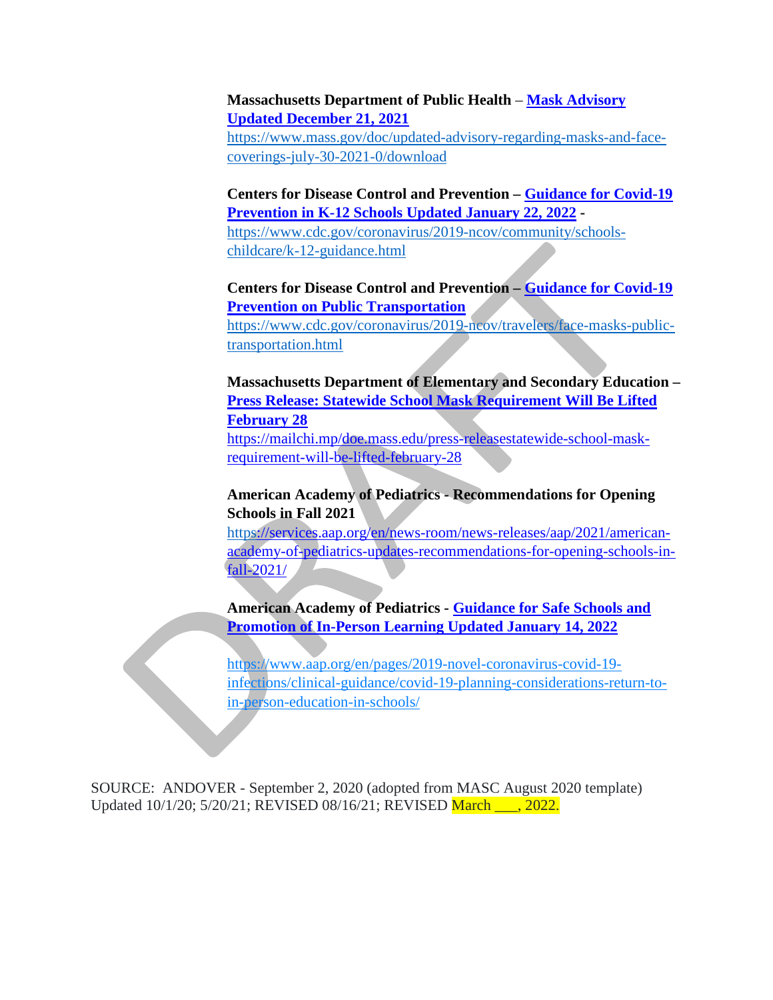#### **Massachusetts Department of Public Health** – **[Mask Advisory](https://www.mass.gov/doc/updated-advisory-regarding-masks-and-face-coverings-july-30-2021-0/download)  [Updated December 21, 2021](https://www.mass.gov/doc/updated-advisory-regarding-masks-and-face-coverings-july-30-2021-0/download)**

[https://www.mass.gov/doc/updated-advisory-regarding-masks-and-face](https://www.mass.gov/doc/updated-advisory-regarding-masks-and-face-coverings-july-30-2021-0/download)[coverings-july-30-2021-0/download](https://www.mass.gov/doc/updated-advisory-regarding-masks-and-face-coverings-july-30-2021-0/download)

**Centers for Disease Control and Prevention – [Guidance for Covid-19](https://www.cdc.gov/coronavirus/2019-ncov/community/schools-childcare/k-12-guidance.html)  [Prevention in K-12 Schools Updated January 22, 2022](https://www.cdc.gov/coronavirus/2019-ncov/community/schools-childcare/k-12-guidance.html) -**

[https://www.cdc.gov/coronavirus/2019-ncov/community/schools](https://www.cdc.gov/coronavirus/2019-ncov/community/schools-childcare/k-12-guidance.html)[childcare/k-12-guidance.html](https://www.cdc.gov/coronavirus/2019-ncov/community/schools-childcare/k-12-guidance.html)

# **Centers for Disease Control and Prevention – [Guidance for Covid-19](https://www.cdc.gov/coronavirus/2019-ncov/travelers/face-masks-public-transportation.html)  [Prevention on Public Transportation](https://www.cdc.gov/coronavirus/2019-ncov/travelers/face-masks-public-transportation.html)**

[https://www.cdc.gov/coronavirus/2019-ncov/travelers/face-masks-public](https://www.cdc.gov/coronavirus/2019-ncov/travelers/face-masks-public-transportation.html)[transportation.html](https://www.cdc.gov/coronavirus/2019-ncov/travelers/face-masks-public-transportation.html)

**Massachusetts Department of Elementary and Secondary Education – [Press Release: Statewide School Mask Requirement Will Be Lifted](https://mailchi.mp/doe.mass.edu/press-releasestatewide-school-mask-requirement-will-be-lifted-february-28)  [February 28](https://mailchi.mp/doe.mass.edu/press-releasestatewide-school-mask-requirement-will-be-lifted-february-28)** [https://mailchi.mp/doe.mass.edu/press-releasestatewide-school-mask](https://mailchi.mp/doe.mass.edu/press-releasestatewide-school-mask-requirement-will-be-lifted-february-28)[requirement-will-be-lifted-february-28](https://mailchi.mp/doe.mass.edu/press-releasestatewide-school-mask-requirement-will-be-lifted-february-28)

# **American Academy of Pediatrics - Recommendations for Opening Schools in Fall 2021**

[https://services.aap.org/en/news-room/news-releases/aap/2021/american](https://services.aap.org/en/news-room/news-releases/aap/2021/american-academy-of-pediatrics-updates-recommendations-for-opening-schools-in-fall-2021/)[academy-of-pediatrics-updates-recommendations-for-opening-schools-in](https://services.aap.org/en/news-room/news-releases/aap/2021/american-academy-of-pediatrics-updates-recommendations-for-opening-schools-in-fall-2021/)[fall-2021/](https://services.aap.org/en/news-room/news-releases/aap/2021/american-academy-of-pediatrics-updates-recommendations-for-opening-schools-in-fall-2021/)

**American Academy of Pediatrics - [Guidance for Safe Schools and](https://www.aap.org/en/pages/2019-novel-coronavirus-covid-19-infections/clinical-guidance/covid-19-planning-considerations-return-to-in-person-education-in-schools/)  [Promotion of In-Person Learning](https://www.aap.org/en/pages/2019-novel-coronavirus-covid-19-infections/clinical-guidance/covid-19-planning-considerations-return-to-in-person-education-in-schools/) Updated January 14, 2022**

https://www.aap.org/en/pages/2019-novel-coronavirus-covid-19 infections/clinical-guidance/covid-19-planning-considerations-return-toin-person-education-in-schools/

SOURCE: ANDOVER - September 2, 2020 (adopted from MASC August 2020 template) Updated 10/1/20; 5/20/21; REVISED 08/16/21; REVISED March \_\_\_, 2022.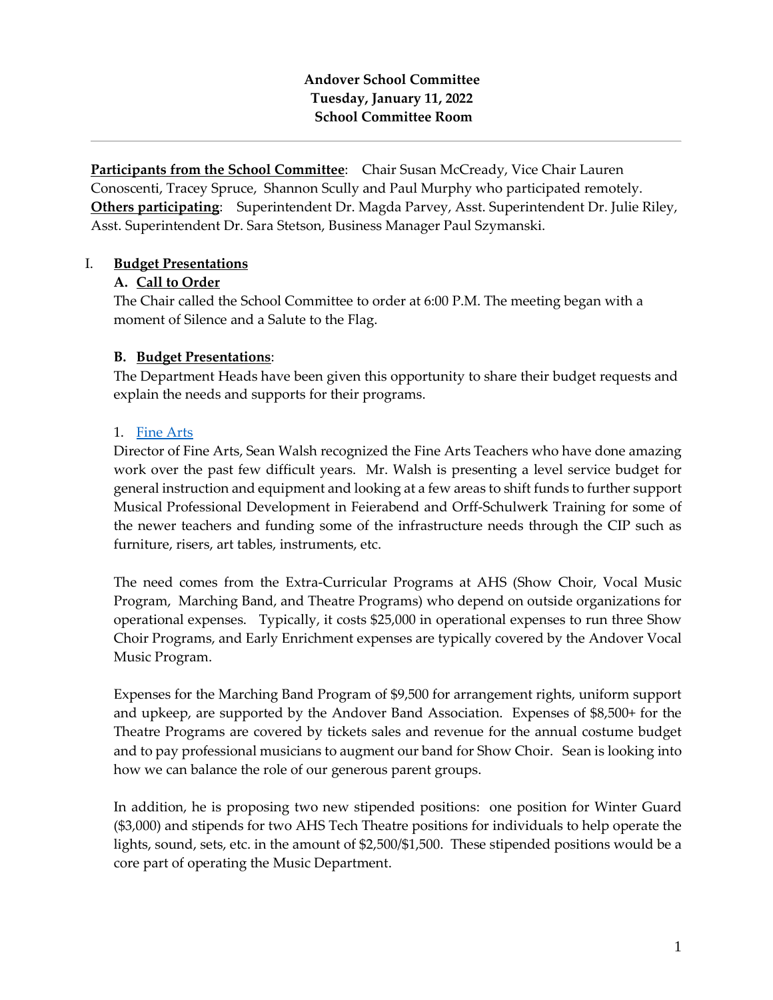# **Andover School Committee Tuesday, January 11, 2022 School Committee Room**

**Participants from the School Committee**: Chair Susan McCready, Vice Chair Lauren Conoscenti, Tracey Spruce, Shannon Scully and Paul Murphy who participated remotely. **Others participating**: Superintendent Dr. Magda Parvey, Asst. Superintendent Dr. Julie Riley, Asst. Superintendent Dr. Sara Stetson, Business Manager Paul Szymanski.

### I. **Budget Presentations**

#### **A. Call to Order**

The Chair called the School Committee to order at 6:00 P.M. The meeting began with a moment of Silence and a Salute to the Flag.

### **B. Budget Presentations**:

The Department Heads have been given this opportunity to share their budget requests and explain the needs and supports for their programs.

#### 1. [Fine Arts](https://www.aps1.net/DocumentCenter/View/12180/Fine-and-Performing-Arts2-003)

Director of Fine Arts, Sean Walsh recognized the Fine Arts Teachers who have done amazing work over the past few difficult years. Mr. Walsh is presenting a level service budget for general instruction and equipment and looking at a few areas to shift funds to further support Musical Professional Development in Feierabend and Orff-Schulwerk Training for some of the newer teachers and funding some of the infrastructure needs through the CIP such as furniture, risers, art tables, instruments, etc.

The need comes from the Extra-Curricular Programs at AHS (Show Choir, Vocal Music Program, Marching Band, and Theatre Programs) who depend on outside organizations for operational expenses. Typically, it costs \$25,000 in operational expenses to run three Show Choir Programs, and Early Enrichment expenses are typically covered by the Andover Vocal Music Program.

Expenses for the Marching Band Program of \$9,500 for arrangement rights, uniform support and upkeep, are supported by the Andover Band Association. Expenses of \$8,500+ for the Theatre Programs are covered by tickets sales and revenue for the annual costume budget and to pay professional musicians to augment our band for Show Choir. Sean is looking into how we can balance the role of our generous parent groups.

In addition, he is proposing two new stipended positions: one position for Winter Guard (\$3,000) and stipends for two AHS Tech Theatre positions for individuals to help operate the lights, sound, sets, etc. in the amount of \$2,500/\$1,500. These stipended positions would be a core part of operating the Music Department.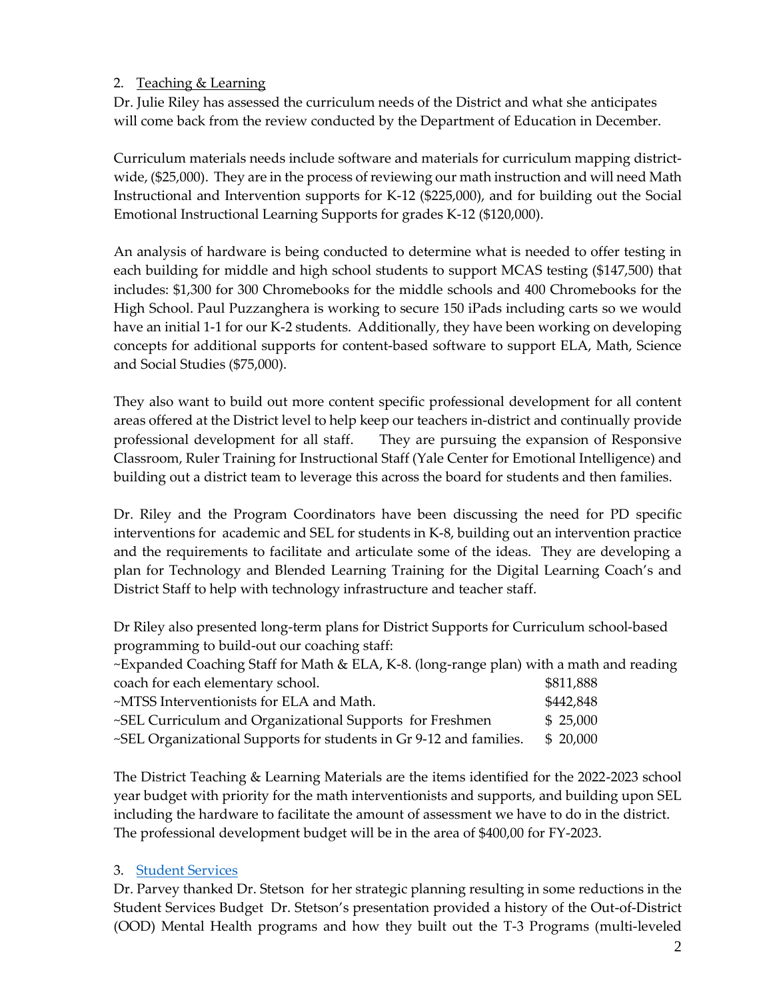# 2. Teaching & Learning

Dr. Julie Riley has assessed the curriculum needs of the District and what she anticipates will come back from the review conducted by the Department of Education in December.

Curriculum materials needs include software and materials for curriculum mapping districtwide, (\$25,000). They are in the process of reviewing our math instruction and will need Math Instructional and Intervention supports for K-12 (\$225,000), and for building out the Social Emotional Instructional Learning Supports for grades K-12 (\$120,000).

An analysis of hardware is being conducted to determine what is needed to offer testing in each building for middle and high school students to support MCAS testing (\$147,500) that includes: \$1,300 for 300 Chromebooks for the middle schools and 400 Chromebooks for the High School. Paul Puzzanghera is working to secure 150 iPads including carts so we would have an initial 1-1 for our K-2 students. Additionally, they have been working on developing concepts for additional supports for content-based software to support ELA, Math, Science and Social Studies (\$75,000).

They also want to build out more content specific professional development for all content areas offered at the District level to help keep our teachers in-district and continually provide professional development for all staff. They are pursuing the expansion of Responsive Classroom, Ruler Training for Instructional Staff (Yale Center for Emotional Intelligence) and building out a district team to leverage this across the board for students and then families.

Dr. Riley and the Program Coordinators have been discussing the need for PD specific interventions for academic and SEL for students in K-8, building out an intervention practice and the requirements to facilitate and articulate some of the ideas. They are developing a plan for Technology and Blended Learning Training for the Digital Learning Coach's and District Staff to help with technology infrastructure and teacher staff.

Dr Riley also presented long-term plans for District Supports for Curriculum school-based programming to build-out our coaching staff:

~Expanded Coaching Staff for Math & ELA, K-8. (long-range plan) with a math and reading coach for each elementary school.  $$811,888$ 

| coach for each elementary school.                                  | <b>POIT,000</b> |
|--------------------------------------------------------------------|-----------------|
| ~MTSS Interventionists for ELA and Math.                           | \$442,848       |
| ~SEL Curriculum and Organizational Supports for Freshmen           | \$ 25,000       |
| ~SEL Organizational Supports for students in Gr 9-12 and families. | \$ 20,000       |

The District Teaching & Learning Materials are the items identified for the 2022-2023 school year budget with priority for the math interventionists and supports, and building upon SEL including the hardware to facilitate the amount of assessment we have to do in the district. The professional development budget will be in the area of \$400,00 for FY-2023.

# 3. [Student Services](https://www.aps1.net/DocumentCenter/View/12181/SS_BUDGET_JAN_2022)

Dr. Parvey thanked Dr. Stetson for her strategic planning resulting in some reductions in the Student Services Budget Dr. Stetson's presentation provided a history of the Out-of-District (OOD) Mental Health programs and how they built out the T-3 Programs (multi-leveled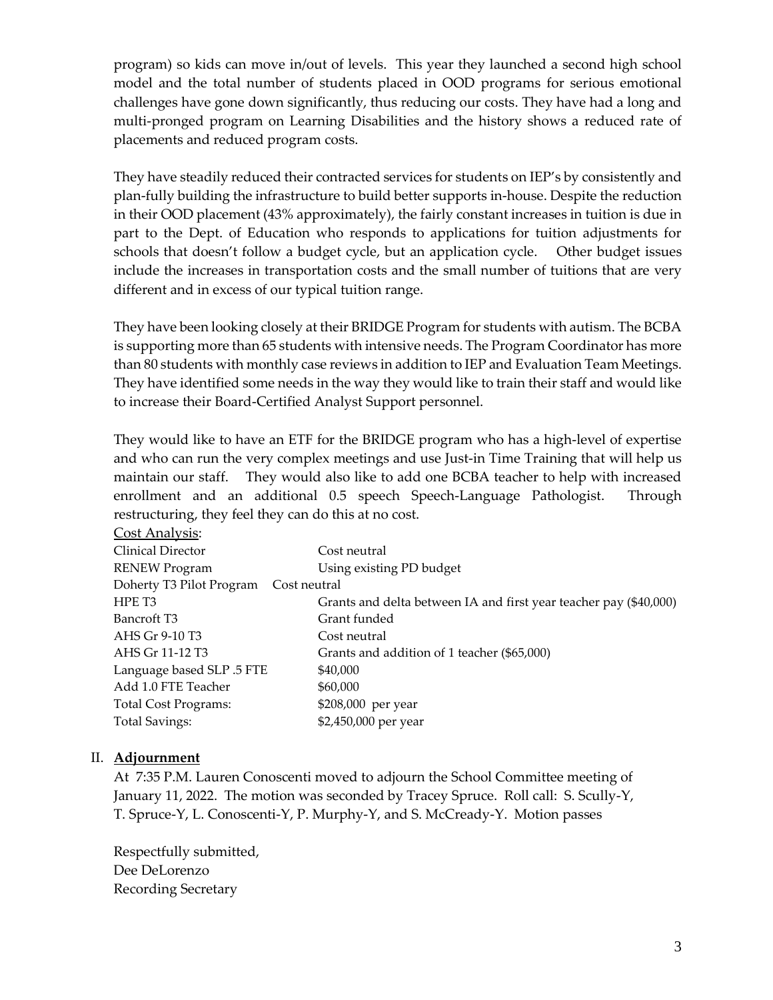program) so kids can move in/out of levels. This year they launched a second high school model and the total number of students placed in OOD programs for serious emotional challenges have gone down significantly, thus reducing our costs. They have had a long and multi-pronged program on Learning Disabilities and the history shows a reduced rate of placements and reduced program costs.

They have steadily reduced their contracted services for students on IEP's by consistently and plan-fully building the infrastructure to build better supports in-house. Despite the reduction in their OOD placement (43% approximately), the fairly constant increases in tuition is due in part to the Dept. of Education who responds to applications for tuition adjustments for schools that doesn't follow a budget cycle, but an application cycle. Other budget issues include the increases in transportation costs and the small number of tuitions that are very different and in excess of our typical tuition range.

They have been looking closely at their BRIDGE Program for students with autism. The BCBA is supporting more than 65 students with intensive needs. The Program Coordinator has more than 80 students with monthly case reviews in addition to IEP and Evaluation Team Meetings. They have identified some needs in the way they would like to train their staff and would like to increase their Board-Certified Analyst Support personnel.

They would like to have an ETF for the BRIDGE program who has a high-level of expertise and who can run the very complex meetings and use Just-in Time Training that will help us maintain our staff. They would also like to add one BCBA teacher to help with increased enrollment and an additional 0.5 speech Speech-Language Pathologist. Through restructuring, they feel they can do this at no cost.

| <b>Cost Analysis:</b>                    |                                                                   |  |  |  |
|------------------------------------------|-------------------------------------------------------------------|--|--|--|
| Clinical Director                        | Cost neutral                                                      |  |  |  |
| <b>RENEW Program</b>                     | Using existing PD budget                                          |  |  |  |
| Doherty T3 Pilot Program<br>Cost neutral |                                                                   |  |  |  |
| HPE T <sub>3</sub>                       | Grants and delta between IA and first year teacher pay (\$40,000) |  |  |  |
| Bancroft T <sub>3</sub>                  | Grant funded                                                      |  |  |  |
| AHS Gr 9-10 T3                           | Cost neutral                                                      |  |  |  |
| AHS Gr 11-12 T3                          | Grants and addition of 1 teacher (\$65,000)                       |  |  |  |
| Language based SLP .5 FTE                | \$40,000                                                          |  |  |  |
| Add 1.0 FTE Teacher                      | \$60,000                                                          |  |  |  |
| <b>Total Cost Programs:</b>              | \$208,000 per year                                                |  |  |  |
| <b>Total Savings:</b>                    | \$2,450,000 per year                                              |  |  |  |
|                                          |                                                                   |  |  |  |

# II. **Adjournment**

At 7:35 P.M. Lauren Conoscenti moved to adjourn the School Committee meeting of January 11, 2022. The motion was seconded by Tracey Spruce. Roll call: S. Scully-Y, T. Spruce-Y, L. Conoscenti-Y, P. Murphy-Y, and S. McCready-Y. Motion passes

Respectfully submitted, Dee DeLorenzo Recording Secretary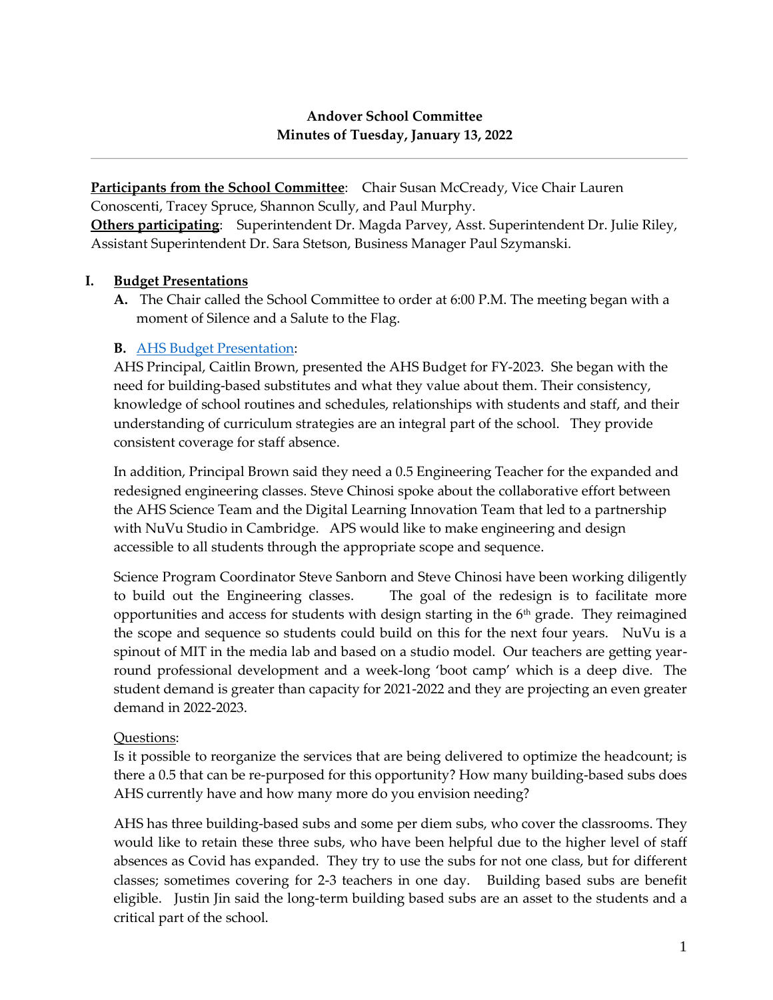# **Andover School Committee Minutes of Tuesday, January 13, 2022**

**Participants from the School Committee:** Chair Susan McCready, Vice Chair Lauren Conoscenti, Tracey Spruce, Shannon Scully, and Paul Murphy.

**Others participating**: Superintendent Dr. Magda Parvey, Asst. Superintendent Dr. Julie Riley, Assistant Superintendent Dr. Sara Stetson, Business Manager Paul Szymanski.

### **I. Budget Presentations**

**A.** The Chair called the School Committee to order at 6:00 P.M. The meeting began with a moment of Silence and a Salute to the Flag.

# **B.** [AHS Budget Presentation:](https://www.aps1.net/DocumentCenter/View/12182/1-AHS-Budget-202223-)

AHS Principal, Caitlin Brown, presented the AHS Budget for FY-2023. She began with the need for building-based substitutes and what they value about them. Their consistency, knowledge of school routines and schedules, relationships with students and staff, and their understanding of curriculum strategies are an integral part of the school. They provide consistent coverage for staff absence.

In addition, Principal Brown said they need a 0.5 Engineering Teacher for the expanded and redesigned engineering classes. Steve Chinosi spoke about the collaborative effort between the AHS Science Team and the Digital Learning Innovation Team that led to a partnership with NuVu Studio in Cambridge. APS would like to make engineering and design accessible to all students through the appropriate scope and sequence.

Science Program Coordinator Steve Sanborn and Steve Chinosi have been working diligently to build out the Engineering classes. The goal of the redesign is to facilitate more opportunities and access for students with design starting in the 6<sup>th</sup> grade. They reimagined the scope and sequence so students could build on this for the next four years. NuVu is a spinout of MIT in the media lab and based on a studio model. Our teachers are getting yearround professional development and a week-long 'boot camp' which is a deep dive. The student demand is greater than capacity for 2021-2022 and they are projecting an even greater demand in 2022-2023.

# Questions:

Is it possible to reorganize the services that are being delivered to optimize the headcount; is there a 0.5 that can be re-purposed for this opportunity? How many building-based subs does AHS currently have and how many more do you envision needing?

AHS has three building-based subs and some per diem subs, who cover the classrooms. They would like to retain these three subs, who have been helpful due to the higher level of staff absences as Covid has expanded. They try to use the subs for not one class, but for different classes; sometimes covering for 2-3 teachers in one day. Building based subs are benefit eligible. Justin Jin said the long-term building based subs are an asset to the students and a critical part of the school.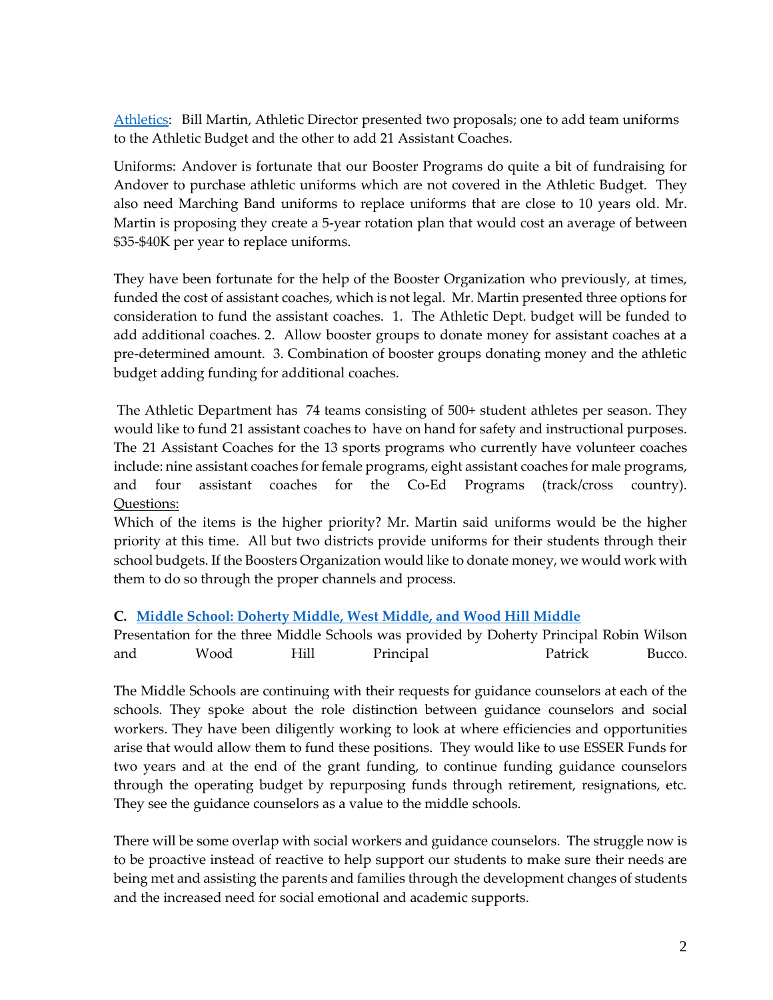[Athletics:](https://www.aps1.net/DocumentCenter/View/12183/2-Athletic-Budget-Presentation-Powerpoint) Bill Martin, Athletic Director presented two proposals; one to add team uniforms to the Athletic Budget and the other to add 21 Assistant Coaches.

Uniforms: Andover is fortunate that our Booster Programs do quite a bit of fundraising for Andover to purchase athletic uniforms which are not covered in the Athletic Budget. They also need Marching Band uniforms to replace uniforms that are close to 10 years old. Mr. Martin is proposing they create a 5-year rotation plan that would cost an average of between \$35-\$40K per year to replace uniforms.

They have been fortunate for the help of the Booster Organization who previously, at times, funded the cost of assistant coaches, which is not legal. Mr. Martin presented three options for consideration to fund the assistant coaches. 1. The Athletic Dept. budget will be funded to add additional coaches. 2. Allow booster groups to donate money for assistant coaches at a pre-determined amount. 3. Combination of booster groups donating money and the athletic budget adding funding for additional coaches.

The Athletic Department has 74 teams consisting of 500+ student athletes per season. They would like to fund 21 assistant coaches to have on hand for safety and instructional purposes. The 21 Assistant Coaches for the 13 sports programs who currently have volunteer coaches include: nine assistant coaches for female programs, eight assistant coaches for male programs, and four assistant coaches for the Co-Ed Programs (track/cross country). Questions:

Which of the items is the higher priority? Mr. Martin said uniforms would be the higher priority at this time. All but two districts provide uniforms for their students through their school budgets. If the Boosters Organization would like to donate money, we would work with them to do so through the proper channels and process.

#### **C. [Middle School: Doherty Middle, West Middle, and Wood Hill Middle](https://www.aps1.net/DocumentCenter/View/12184/3-MS-Budget-2022-D2-003)**

Presentation for the three Middle Schools was provided by Doherty Principal Robin Wilson and Wood Hill Principal Patrick Bucco.

The Middle Schools are continuing with their requests for guidance counselors at each of the schools. They spoke about the role distinction between guidance counselors and social workers. They have been diligently working to look at where efficiencies and opportunities arise that would allow them to fund these positions. They would like to use ESSER Funds for two years and at the end of the grant funding, to continue funding guidance counselors through the operating budget by repurposing funds through retirement, resignations, etc. They see the guidance counselors as a value to the middle schools.

There will be some overlap with social workers and guidance counselors. The struggle now is to be proactive instead of reactive to help support our students to make sure their needs are being met and assisting the parents and families through the development changes of students and the increased need for social emotional and academic supports.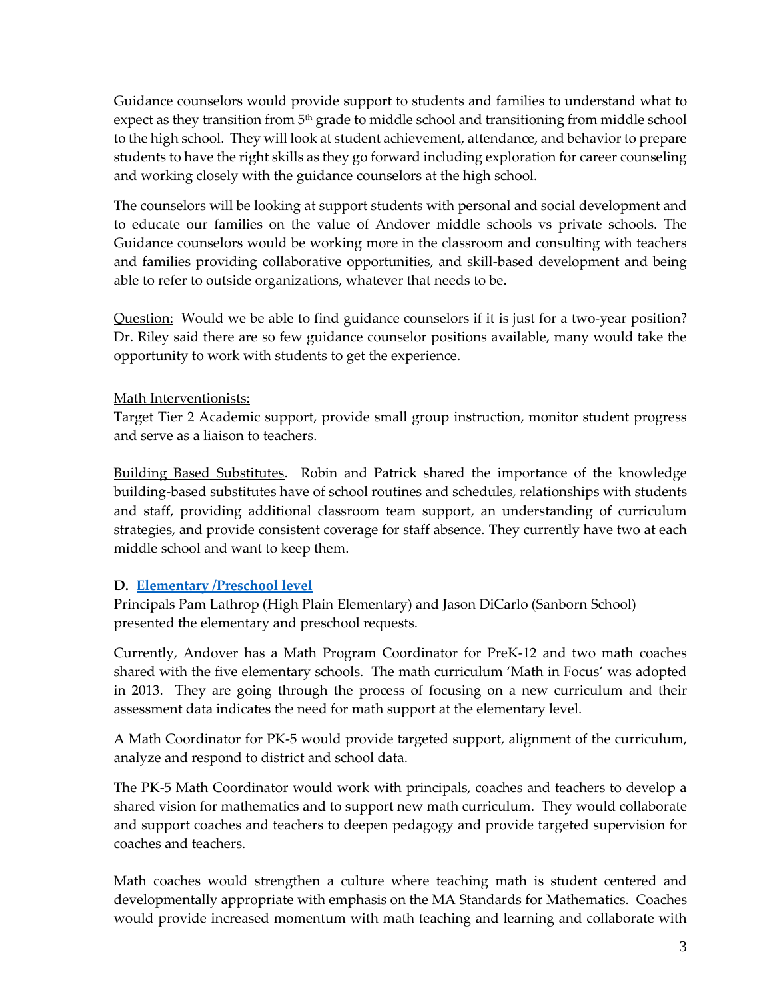Guidance counselors would provide support to students and families to understand what to expect as they transition from 5<sup>th</sup> grade to middle school and transitioning from middle school to the high school. They will look at student achievement, attendance, and behavior to prepare students to have the right skills as they go forward including exploration for career counseling and working closely with the guidance counselors at the high school.

The counselors will be looking at support students with personal and social development and to educate our families on the value of Andover middle schools vs private schools. The Guidance counselors would be working more in the classroom and consulting with teachers and families providing collaborative opportunities, and skill-based development and being able to refer to outside organizations, whatever that needs to be.

Question: Would we be able to find guidance counselors if it is just for a two-year position? Dr. Riley said there are so few guidance counselor positions available, many would take the opportunity to work with students to get the experience.

# Math Interventionists:

Target Tier 2 Academic support, provide small group instruction, monitor student progress and serve as a liaison to teachers.

Building Based Substitutes. Robin and Patrick shared the importance of the knowledge building-based substitutes have of school routines and schedules, relationships with students and staff, providing additional classroom team support, an understanding of curriculum strategies, and provide consistent coverage for staff absence. They currently have two at each middle school and want to keep them.

# **D. [Elementary /Preschool level](https://www.aps1.net/DocumentCenter/View/12185/4-APS-PPT-Elementary-presentation-2022-2-1)**

Principals Pam Lathrop (High Plain Elementary) and Jason DiCarlo (Sanborn School) presented the elementary and preschool requests.

Currently, Andover has a Math Program Coordinator for PreK-12 and two math coaches shared with the five elementary schools. The math curriculum 'Math in Focus' was adopted in 2013. They are going through the process of focusing on a new curriculum and their assessment data indicates the need for math support at the elementary level.

A Math Coordinator for PK-5 would provide targeted support, alignment of the curriculum, analyze and respond to district and school data.

The PK-5 Math Coordinator would work with principals, coaches and teachers to develop a shared vision for mathematics and to support new math curriculum. They would collaborate and support coaches and teachers to deepen pedagogy and provide targeted supervision for coaches and teachers.

Math coaches would strengthen a culture where teaching math is student centered and developmentally appropriate with emphasis on the MA Standards for Mathematics. Coaches would provide increased momentum with math teaching and learning and collaborate with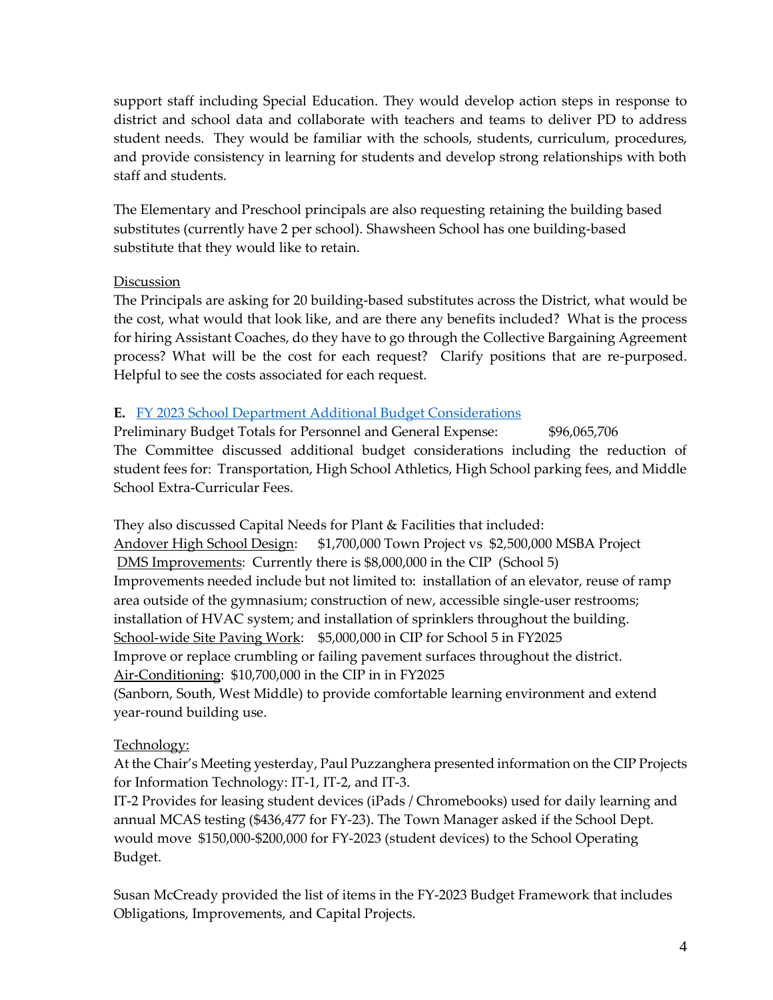support staff including Special Education. They would develop action steps in response to district and school data and collaborate with teachers and teams to deliver PD to address student needs. They would be familiar with the schools, students, curriculum, procedures, and provide consistency in learning for students and develop strong relationships with both staff and students.

The Elementary and Preschool principals are also requesting retaining the building based substitutes (currently have 2 per school). Shawsheen School has one building-based substitute that they would like to retain.

### **Discussion**

The Principals are asking for 20 building-based substitutes across the District, what would be the cost, what would that look like, and are there any benefits included? What is the process for hiring Assistant Coaches, do they have to go through the Collective Bargaining Agreement process? What will be the cost for each request? Clarify positions that are re-purposed. Helpful to see the costs associated for each request.

# **E.** [FY 2023 School Department Additional Budget Considerations](https://www.aps1.net/DocumentCenter/View/12186/FY2023-Budget---Additional-Considerations---20220113---V3--)

Preliminary Budget Totals for Personnel and General Expense: \$96,065,706 The Committee discussed additional budget considerations including the reduction of student fees for: Transportation, High School Athletics, High School parking fees, and Middle School Extra-Curricular Fees.

They also discussed Capital Needs for Plant & Facilities that included: Andover High School Design: \$1,700,000 Town Project vs \$2,500,000 MSBA Project DMS Improvements: Currently there is \$8,000,000 in the CIP (School 5) Improvements needed include but not limited to: installation of an elevator, reuse of ramp area outside of the gymnasium; construction of new, accessible single-user restrooms; installation of HVAC system; and installation of sprinklers throughout the building. School-wide Site Paving Work: \$5,000,000 in CIP for School 5 in FY2025 Improve or replace crumbling or failing pavement surfaces throughout the district. Air-Conditioning: \$10,700,000 in the CIP in in FY2025 (Sanborn, South, West Middle) to provide comfortable learning environment and extend year-round building use.

# Technology:

At the Chair's Meeting yesterday, Paul Puzzanghera presented information on the CIP Projects for Information Technology: IT-1, IT-2, and IT-3.

IT-2 Provides for leasing student devices (iPads / Chromebooks) used for daily learning and annual MCAS testing (\$436,477 for FY-23). The Town Manager asked if the School Dept. would move \$150,000-\$200,000 for FY-2023 (student devices) to the School Operating Budget.

Susan McCready provided the list of items in the FY-2023 Budget Framework that includes Obligations, Improvements, and Capital Projects.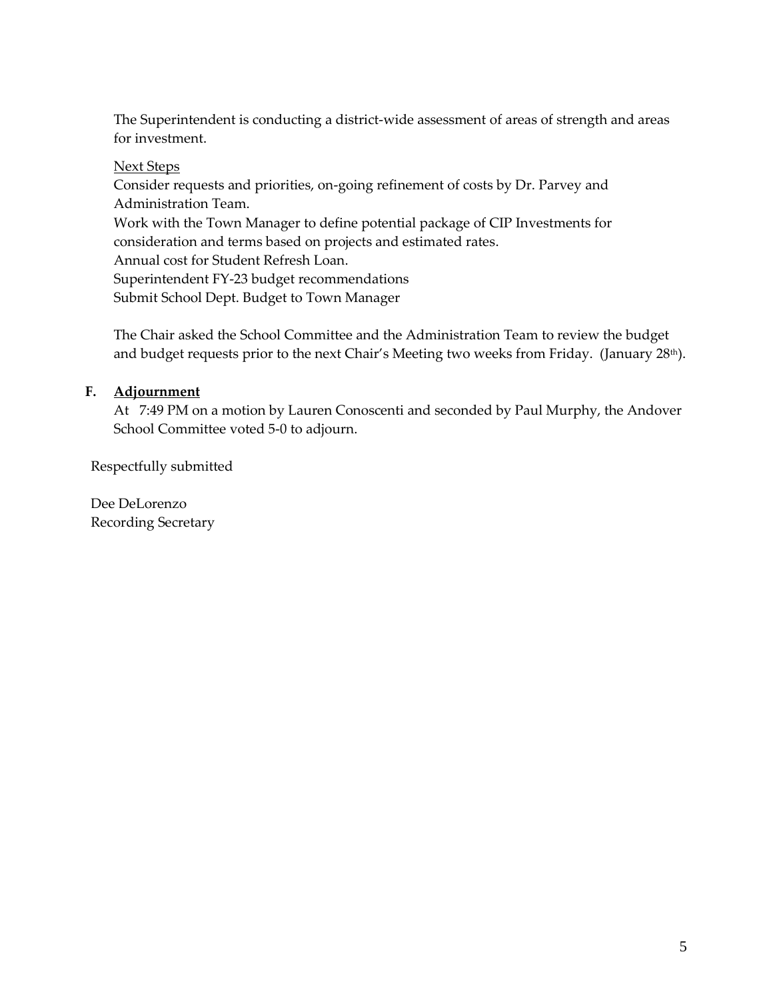The Superintendent is conducting a district-wide assessment of areas of strength and areas for investment.

### Next Steps

Consider requests and priorities, on-going refinement of costs by Dr. Parvey and Administration Team. Work with the Town Manager to define potential package of CIP Investments for consideration and terms based on projects and estimated rates. Annual cost for Student Refresh Loan. Superintendent FY-23 budget recommendations Submit School Dept. Budget to Town Manager

The Chair asked the School Committee and the Administration Team to review the budget and budget requests prior to the next Chair's Meeting two weeks from Friday. (January 28<sup>th</sup>).

# **F. Adjournment**

At 7:49 PM on a motion by Lauren Conoscenti and seconded by Paul Murphy, the Andover School Committee voted 5-0 to adjourn.

Respectfully submitted

Dee DeLorenzo Recording Secretary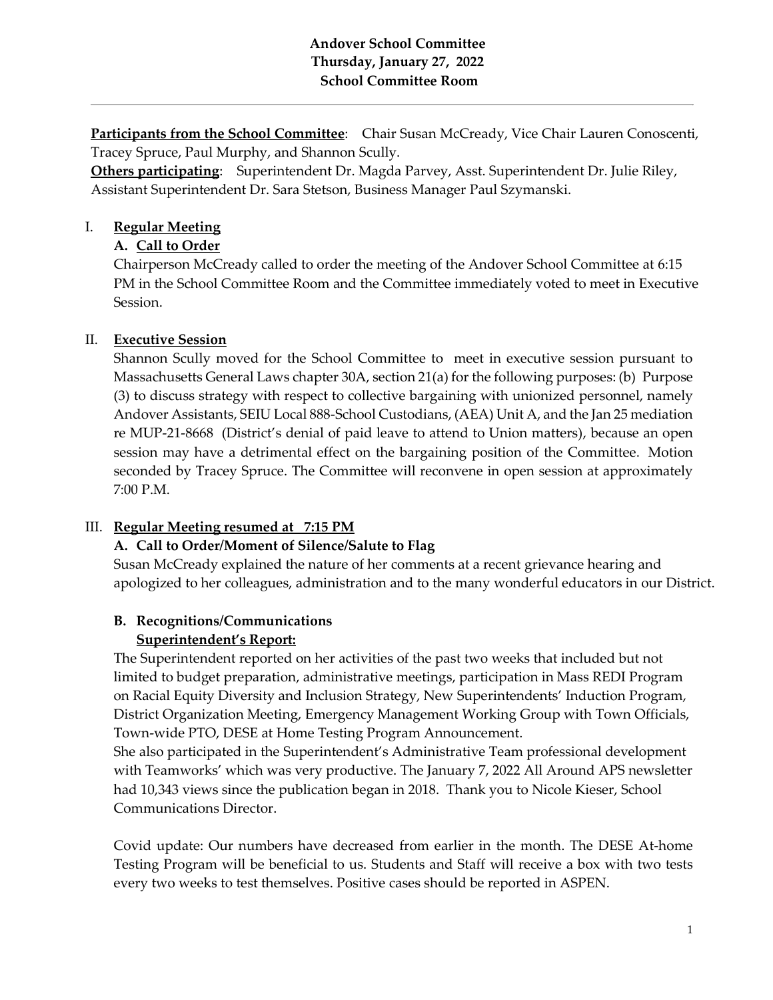# **Andover School Committee Thursday, January 27, 2022 School Committee Room**

**Participants from the School Committee:** Chair Susan McCready, Vice Chair Lauren Conoscenti, Tracey Spruce, Paul Murphy, and Shannon Scully.

**Others participating**: Superintendent Dr. Magda Parvey, Asst. Superintendent Dr. Julie Riley, Assistant Superintendent Dr. Sara Stetson, Business Manager Paul Szymanski.

# I. **Regular Meeting**

# **A. Call to Order**

Chairperson McCready called to order the meeting of the Andover School Committee at 6:15 PM in the School Committee Room and the Committee immediately voted to meet in Executive Session.

# II. **Executive Session**

Shannon Scully moved for the School Committee to meet in executive session pursuant to Massachusetts General Laws chapter 30A, section 21(a) for the following purposes: (b) Purpose (3) to discuss strategy with respect to collective bargaining with unionized personnel, namely Andover Assistants, SEIU Local 888-School Custodians, (AEA) Unit A, and the Jan 25 mediation re MUP-21-8668 (District's denial of paid leave to attend to Union matters), because an open session may have a detrimental effect on the bargaining position of the Committee. Motion seconded by Tracey Spruce. The Committee will reconvene in open session at approximately 7:00 P.M.

# III. **Regular Meeting resumed at 7:15 PM**

# **A. Call to Order/Moment of Silence/Salute to Flag**

Susan McCready explained the nature of her comments at a recent grievance hearing and apologized to her colleagues, administration and to the many wonderful educators in our District.

# **B. Recognitions/Communications Superintendent's Report:**

The Superintendent reported on her activities of the past two weeks that included but not limited to budget preparation, administrative meetings, participation in Mass REDI Program on Racial Equity Diversity and Inclusion Strategy, New Superintendents' Induction Program, District Organization Meeting, Emergency Management Working Group with Town Officials, Town-wide PTO, DESE at Home Testing Program Announcement.

She also participated in the Superintendent's Administrative Team professional development with Teamworks' which was very productive. The January 7, 2022 All Around APS newsletter had 10,343 views since the publication began in 2018. Thank you to Nicole Kieser, School Communications Director.

Covid update: Our numbers have decreased from earlier in the month. The DESE At-home Testing Program will be beneficial to us. Students and Staff will receive a box with two tests every two weeks to test themselves. Positive cases should be reported in ASPEN.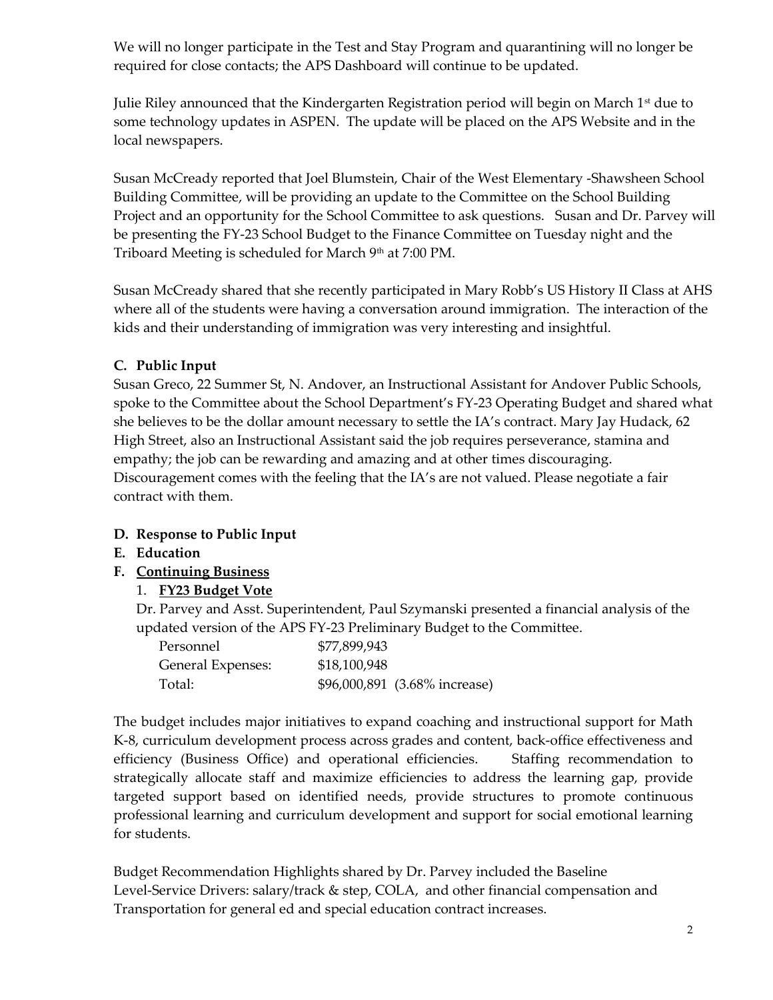We will no longer participate in the Test and Stay Program and quarantining will no longer be required for close contacts; the APS Dashboard will continue to be updated.

Julie Riley announced that the Kindergarten Registration period will begin on March  $1<sup>st</sup>$  due to some technology updates in ASPEN. The update will be placed on the APS Website and in the local newspapers.

Susan McCready reported that Joel Blumstein, Chair of the West Elementary -Shawsheen School Building Committee, will be providing an update to the Committee on the School Building Project and an opportunity for the School Committee to ask questions. Susan and Dr. Parvey will be presenting the FY-23 School Budget to the Finance Committee on Tuesday night and the Triboard Meeting is scheduled for March 9<sup>th</sup> at 7:00 PM.

Susan McCready shared that she recently participated in Mary Robb's US History II Class at AHS where all of the students were having a conversation around immigration. The interaction of the kids and their understanding of immigration was very interesting and insightful.

# **C. Public Input**

Susan Greco, 22 Summer St, N. Andover, an Instructional Assistant for Andover Public Schools, spoke to the Committee about the School Department's FY-23 Operating Budget and shared what she believes to be the dollar amount necessary to settle the IA's contract. Mary Jay Hudack, 62 High Street, also an Instructional Assistant said the job requires perseverance, stamina and empathy; the job can be rewarding and amazing and at other times discouraging. Discouragement comes with the feeling that the IA's are not valued. Please negotiate a fair contract with them.

# **D. Response to Public Input**

- **E. Education**
- **F. [Continuing](https://www.aps1.net/DocumentCenter/View/12199/FY2023-Budget---Recommendation-to-SC-on-20220127-FINAL-with-Update-002) Business**

# 1. **[FY23 Budget Vote](https://www.aps1.net/DocumentCenter/View/12199/FY2023-Budget---Recommendation-to-SC-on-20220127-FINAL-with-Update-002)**

Dr. Parvey and Asst. Superintendent, Paul Szymanski presented a financial analysis of the updated version of the APS FY-23 Preliminary Budget to the Committee.

| Personnel         | \$77,899,943 |                               |
|-------------------|--------------|-------------------------------|
| General Expenses: | \$18,100,948 |                               |
| Total:            |              | \$96,000,891 (3.68% increase) |

The budget includes major initiatives to expand coaching and instructional support for Math K-8, curriculum development process across grades and content, back-office effectiveness and efficiency (Business Office) and operational efficiencies. Staffing recommendation to strategically allocate staff and maximize efficiencies to address the learning gap, provide targeted support based on identified needs, provide structures to promote continuous professional learning and curriculum development and support for social emotional learning for students.

Budget Recommendation Highlights shared by Dr. Parvey included the Baseline Level-Service Drivers: salary/track & step, COLA, and other financial compensation and Transportation for general ed and special education contract increases.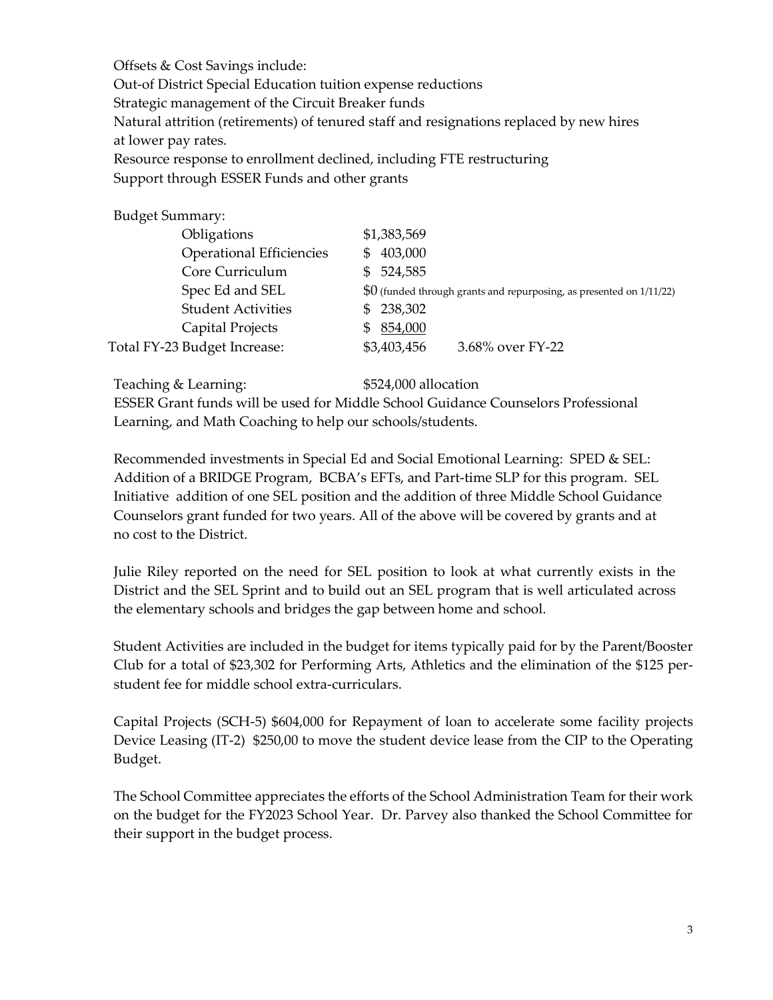Offsets & Cost Savings include: Out-of District Special Education tuition expense reductions Strategic management of the Circuit Breaker funds Natural attrition (retirements) of tenured staff and resignations replaced by new hires at lower pay rates. Resource response to enrollment declined, including FTE restructuring Support through ESSER Funds and other grants

| <b>Budget Summary:</b>          |                                                                       |
|---------------------------------|-----------------------------------------------------------------------|
| Obligations                     | \$1,383,569                                                           |
| <b>Operational Efficiencies</b> | \$403,000                                                             |
| Core Curriculum                 | \$524,585                                                             |
| Spec Ed and SEL                 | $$0$ (funded through grants and repurposing, as presented on 1/11/22) |
| <b>Student Activities</b>       | \$238,302                                                             |
| Capital Projects                | 854,000                                                               |
| Total FY-23 Budget Increase:    | \$3,403,456<br>3.68% over FY-22                                       |
|                                 |                                                                       |

Teaching & Learning:  $$524,000$  allocation

ESSER Grant funds will be used for Middle School Guidance Counselors Professional Learning, and Math Coaching to help our schools/students.

Recommended investments in Special Ed and Social Emotional Learning: SPED & SEL: Addition of a BRIDGE Program, BCBA's EFTs, and Part-time SLP for this program. SEL Initiative addition of one SEL position and the addition of three Middle School Guidance Counselors grant funded for two years. All of the above will be covered by grants and at no cost to the District.

Julie Riley reported on the need for SEL position to look at what currently exists in the District and the SEL Sprint and to build out an SEL program that is well articulated across the elementary schools and bridges the gap between home and school.

Student Activities are included in the budget for items typically paid for by the Parent/Booster Club for a total of \$23,302 for Performing Arts, Athletics and the elimination of the \$125 perstudent fee for middle school extra-curriculars.

Capital Projects (SCH-5) \$604,000 for Repayment of loan to accelerate some facility projects Device Leasing (IT-2) \$250,00 to move the student device lease from the CIP to the Operating Budget.

The School Committee appreciates the efforts of the School Administration Team for their work on the budget for the FY2023 School Year. Dr. Parvey also thanked the School Committee for their support in the budget process.